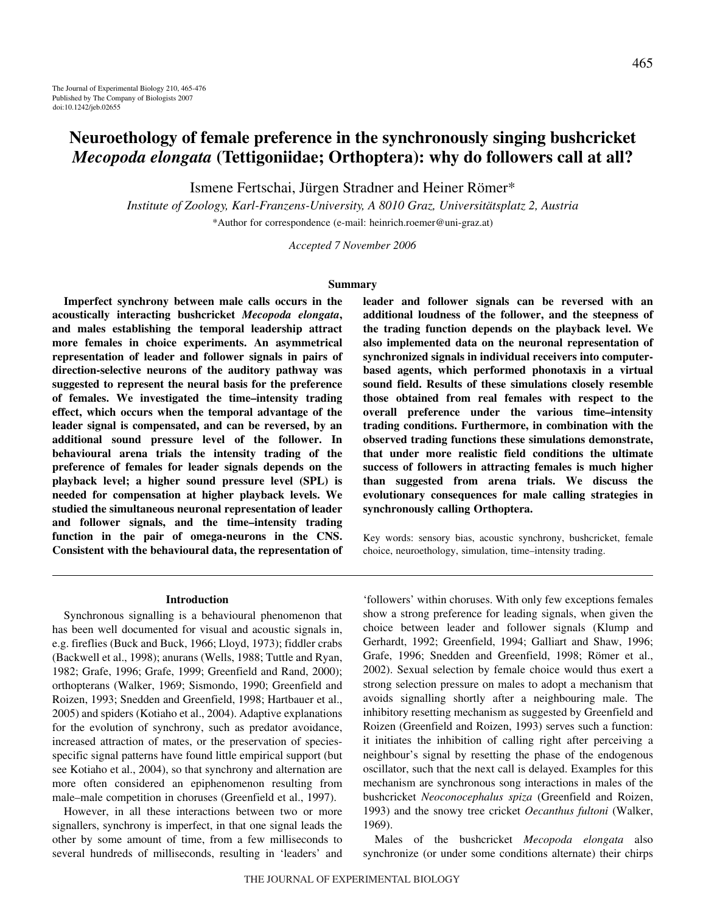# **Neuroethology of female preference in the synchronously singing bushcricket** *Mecopoda elongata* **(Tettigoniidae; Orthoptera): why do followers call at all?**

Ismene Fertschai, Jürgen Stradner and Heiner Römer\*

*Institute of Zoology, Karl-Franzens-University, A 8010 Graz, Universitätsplatz 2, Austria* \*Author for correspondence (e-mail: heinrich.roemer@uni-graz.at)

*Accepted 7 November 2006*

# **Summary**

**Imperfect synchrony between male calls occurs in the acoustically interacting bushcricket** *Mecopoda elongata***, and males establishing the temporal leadership attract more females in choice experiments. An asymmetrical representation of leader and follower signals in pairs of direction-selective neurons of the auditory pathway was suggested to represent the neural basis for the preference of females. We investigated the time–intensity trading effect, which occurs when the temporal advantage of the leader signal is compensated, and can be reversed, by an additional sound pressure level of the follower. In behavioural arena trials the intensity trading of the preference of females for leader signals depends on the playback level; a higher sound pressure level (SPL) is needed for compensation at higher playback levels. We studied the simultaneous neuronal representation of leader and follower signals, and the time–intensity trading function in the pair of omega-neurons in the CNS. Consistent with the behavioural data, the representation of** **leader and follower signals can be reversed with an additional loudness of the follower, and the steepness of the trading function depends on the playback level. We also implemented data on the neuronal representation of synchronized signals in individual receivers into computerbased agents, which performed phonotaxis in a virtual sound field. Results of these simulations closely resemble those obtained from real females with respect to the overall preference under the various time–intensity trading conditions. Furthermore, in combination with the observed trading functions these simulations demonstrate, that under more realistic field conditions the ultimate success of followers in attracting females is much higher than suggested from arena trials. We discuss the evolutionary consequences for male calling strategies in synchronously calling Orthoptera.**

Key words: sensory bias, acoustic synchrony, bushcricket, female choice, neuroethology, simulation, time–intensity trading.

#### **Introduction**

Synchronous signalling is a behavioural phenomenon that has been well documented for visual and acoustic signals in, e.g. fireflies (Buck and Buck, 1966; Lloyd, 1973); fiddler crabs (Backwell et al., 1998); anurans (Wells, 1988; Tuttle and Ryan, 1982; Grafe, 1996; Grafe, 1999; Greenfield and Rand, 2000); orthopterans (Walker, 1969; Sismondo, 1990; Greenfield and Roizen, 1993; Snedden and Greenfield, 1998; Hartbauer et al., 2005) and spiders (Kotiaho et al., 2004). Adaptive explanations for the evolution of synchrony, such as predator avoidance, increased attraction of mates, or the preservation of speciesspecific signal patterns have found little empirical support (but see Kotiaho et al., 2004), so that synchrony and alternation are more often considered an epiphenomenon resulting from male–male competition in choruses (Greenfield et al., 1997).

However, in all these interactions between two or more signallers, synchrony is imperfect, in that one signal leads the other by some amount of time, from a few milliseconds to several hundreds of milliseconds, resulting in 'leaders' and

'followers' within choruses. With only few exceptions females show a strong preference for leading signals, when given the choice between leader and follower signals (Klump and Gerhardt, 1992; Greenfield, 1994; Galliart and Shaw, 1996; Grafe, 1996; Snedden and Greenfield, 1998; Römer et al., 2002). Sexual selection by female choice would thus exert a strong selection pressure on males to adopt a mechanism that avoids signalling shortly after a neighbouring male. The inhibitory resetting mechanism as suggested by Greenfield and Roizen (Greenfield and Roizen, 1993) serves such a function: it initiates the inhibition of calling right after perceiving a neighbour's signal by resetting the phase of the endogenous oscillator, such that the next call is delayed. Examples for this mechanism are synchronous song interactions in males of the bushcricket *Neoconocephalus spiza* (Greenfield and Roizen, 1993) and the snowy tree cricket *Oecanthus fultoni* (Walker, 1969).

Males of the bushcricket *Mecopoda elongata* also synchronize (or under some conditions alternate) their chirps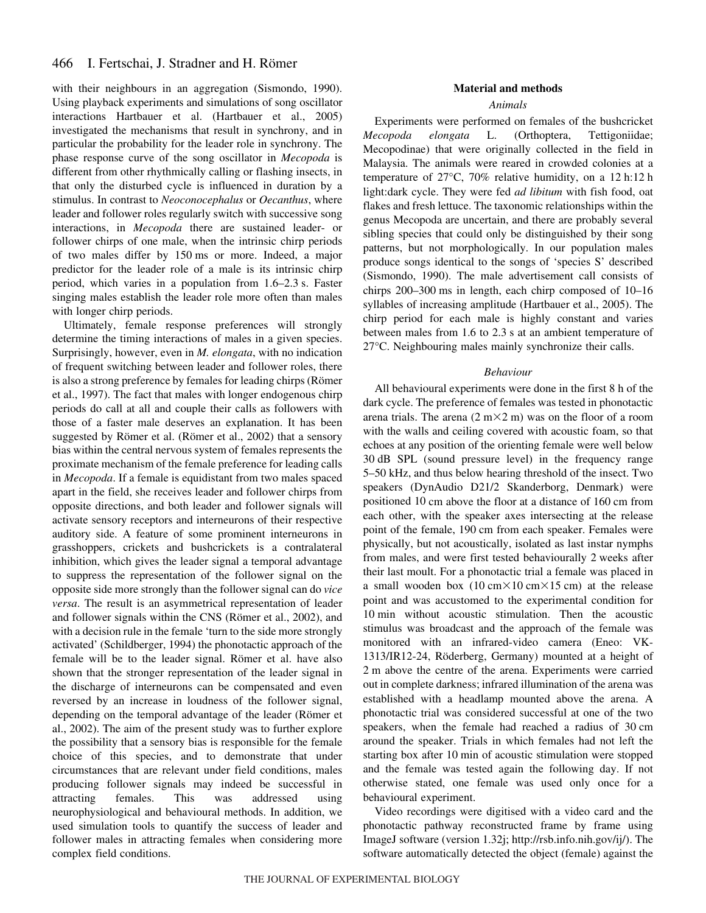with their neighbours in an aggregation (Sismondo, 1990). Using playback experiments and simulations of song oscillator interactions Hartbauer et al. (Hartbauer et al., 2005) investigated the mechanisms that result in synchrony, and in particular the probability for the leader role in synchrony. The phase response curve of the song oscillator in *Mecopoda* is different from other rhythmically calling or flashing insects, in that only the disturbed cycle is influenced in duration by a stimulus. In contrast to *Neoconocephalus* or *Oecanthus*, where leader and follower roles regularly switch with successive song interactions, in *Mecopoda* there are sustained leader- or follower chirps of one male, when the intrinsic chirp periods of two males differ by 150 ms or more. Indeed, a major predictor for the leader role of a male is its intrinsic chirp period, which varies in a population from  $1.6-2.3$  s. Faster singing males establish the leader role more often than males with longer chirp periods.

Ultimately, female response preferences will strongly determine the timing interactions of males in a given species. Surprisingly, however, even in *M. elongata*, with no indication of frequent switching between leader and follower roles, there is also a strong preference by females for leading chirps (Römer et al., 1997). The fact that males with longer endogenous chirp periods do call at all and couple their calls as followers with those of a faster male deserves an explanation. It has been suggested by Römer et al. (Römer et al., 2002) that a sensory bias within the central nervous system of females represents the proximate mechanism of the female preference for leading calls in *Mecopoda*. If a female is equidistant from two males spaced apart in the field, she receives leader and follower chirps from opposite directions, and both leader and follower signals will activate sensory receptors and interneurons of their respective auditory side. A feature of some prominent interneurons in grasshoppers, crickets and bushcrickets is a contralateral inhibition, which gives the leader signal a temporal advantage to suppress the representation of the follower signal on the opposite side more strongly than the follower signal can do *vice versa*. The result is an asymmetrical representation of leader and follower signals within the CNS (Römer et al., 2002), and with a decision rule in the female 'turn to the side more strongly activated' (Schildberger, 1994) the phonotactic approach of the female will be to the leader signal. Römer et al. have also shown that the stronger representation of the leader signal in the discharge of interneurons can be compensated and even reversed by an increase in loudness of the follower signal, depending on the temporal advantage of the leader (Römer et al., 2002). The aim of the present study was to further explore the possibility that a sensory bias is responsible for the female choice of this species, and to demonstrate that under circumstances that are relevant under field conditions, males producing follower signals may indeed be successful in attracting females. This was addressed using neurophysiological and behavioural methods. In addition, we used simulation tools to quantify the success of leader and follower males in attracting females when considering more complex field conditions.

# **Material and methods**

### *Animals*

Experiments were performed on females of the bushcricket *Mecopoda elongata* L. (Orthoptera, Tettigoniidae; Mecopodinae) that were originally collected in the field in Malaysia. The animals were reared in crowded colonies at a temperature of  $27^{\circ}$ C,  $70\%$  relative humidity, on a 12 h:12 h light:dark cycle. They were fed *ad libitum* with fish food, oat flakes and fresh lettuce. The taxonomic relationships within the genus Mecopoda are uncertain, and there are probably several sibling species that could only be distinguished by their song patterns, but not morphologically. In our population males produce songs identical to the songs of 'species S' described (Sismondo, 1990). The male advertisement call consists of chirps  $200-300$  ms in length, each chirp composed of  $10-16$ syllables of increasing amplitude (Hartbauer et al., 2005). The chirp period for each male is highly constant and varies between males from 1.6 to 2.3 s at an ambient temperature of 27°C. Neighbouring males mainly synchronize their calls.

#### *Behaviour*

All behavioural experiments were done in the first 8 h of the dark cycle. The preference of females was tested in phonotactic arena trials. The arena  $(2 \text{ m} \times 2 \text{ m})$  was on the floor of a room with the walls and ceiling covered with acoustic foam, so that echoes at any position of the orienting female were well below 30 dB SPL (sound pressure level) in the frequency range 5–50 kHz, and thus below hearing threshold of the insect. Two speakers (DynAudio D21/2 Skanderborg, Denmark) were positioned 10 cm above the floor at a distance of 160 cm from each other, with the speaker axes intersecting at the release point of the female, 190 cm from each speaker. Females were physically, but not acoustically, isolated as last instar nymphs from males, and were first tested behaviourally 2 weeks after their last moult. For a phonotactic trial a female was placed in a small wooden box  $(10 \text{ cm} \times 10 \text{ cm} \times 15 \text{ cm})$  at the release point and was accustomed to the experimental condition for 10 min without acoustic stimulation. Then the acoustic stimulus was broadcast and the approach of the female was monitored with an infrared-video camera (Eneo: VK-1313/IR12-24, Röderberg, Germany) mounted at a height of 2 m above the centre of the arena. Experiments were carried out in complete darkness; infrared illumination of the arena was established with a headlamp mounted above the arena. A phonotactic trial was considered successful at one of the two speakers, when the female had reached a radius of 30 cm around the speaker. Trials in which females had not left the starting box after 10 min of acoustic stimulation were stopped and the female was tested again the following day. If not otherwise stated, one female was used only once for a behavioural experiment.

Video recordings were digitised with a video card and the phonotactic pathway reconstructed frame by frame using ImageJ software (version 1.32j; http://rsb.info.nih.gov/ij/). The software automatically detected the object (female) against the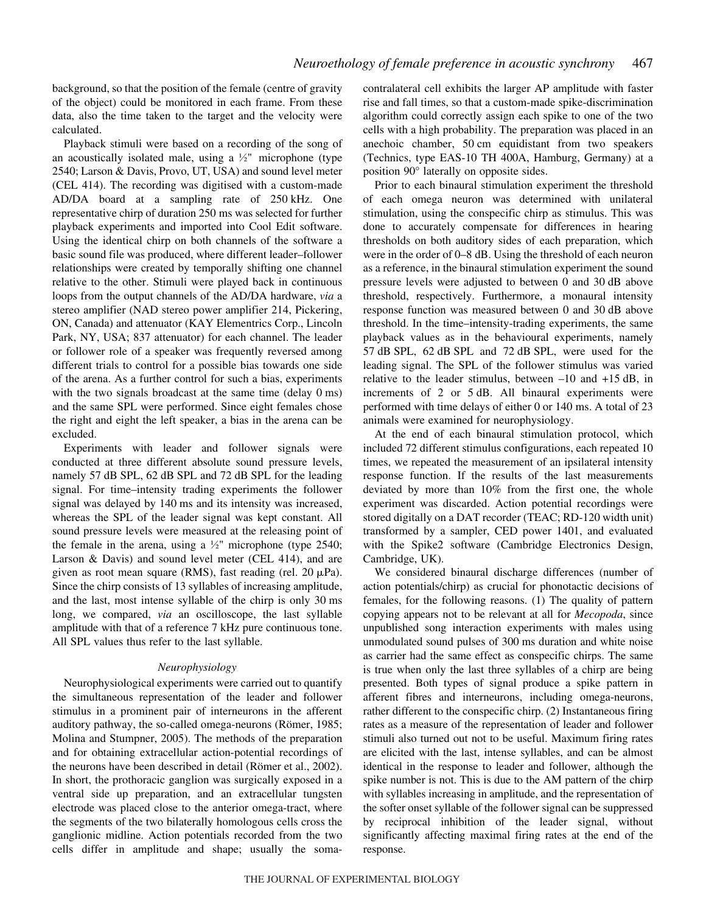background, so that the position of the female (centre of gravity of the object) could be monitored in each frame. From these data, also the time taken to the target and the velocity were calculated.

Playback stimuli were based on a recording of the song of an acoustically isolated male, using a  $\frac{1}{2}$ " microphone (type 2540; Larson & Davis, Provo, UT, USA) and sound level meter (CEL 414). The recording was digitised with a custom-made AD/DA board at a sampling rate of 250 kHz. One representative chirp of duration 250 ms was selected for further playback experiments and imported into Cool Edit software. Using the identical chirp on both channels of the software a basic sound file was produced, where different leader–follower relationships were created by temporally shifting one channel relative to the other. Stimuli were played back in continuous loops from the output channels of the AD/DA hardware, *via* a stereo amplifier (NAD stereo power amplifier 214, Pickering, ON, Canada) and attenuator (KAY Elementrics Corp., Lincoln Park, NY, USA; 837 attenuator) for each channel. The leader or follower role of a speaker was frequently reversed among different trials to control for a possible bias towards one side of the arena. As a further control for such a bias, experiments with the two signals broadcast at the same time (delay  $0 \text{ ms}$ ) and the same SPL were performed. Since eight females chose the right and eight the left speaker, a bias in the arena can be excluded.

Experiments with leader and follower signals were conducted at three different absolute sound pressure levels, namely 57 dB SPL, 62 dB SPL and 72 dB SPL for the leading signal. For time–intensity trading experiments the follower signal was delayed by 140 ms and its intensity was increased, whereas the SPL of the leader signal was kept constant. All sound pressure levels were measured at the releasing point of the female in the arena, using a  $\frac{1}{2}$ " microphone (type 2540; Larson & Davis) and sound level meter (CEL 414), and are given as root mean square (RMS), fast reading (rel.  $20 \mu Pa$ ). Since the chirp consists of 13 syllables of increasing amplitude, and the last, most intense syllable of the chirp is only 30 ms long, we compared, *via* an oscilloscope, the last syllable amplitude with that of a reference 7 kHz pure continuous tone. All SPL values thus refer to the last syllable.

# *Neurophysiology*

Neurophysiological experiments were carried out to quantify the simultaneous representation of the leader and follower stimulus in a prominent pair of interneurons in the afferent auditory pathway, the so-called omega-neurons (Römer, 1985; Molina and Stumpner, 2005). The methods of the preparation and for obtaining extracellular action-potential recordings of the neurons have been described in detail (Römer et al., 2002). In short, the prothoracic ganglion was surgically exposed in a ventral side up preparation, and an extracellular tungsten electrode was placed close to the anterior omega-tract, where the segments of the two bilaterally homologous cells cross the ganglionic midline. Action potentials recorded from the two cells differ in amplitude and shape; usually the somacontralateral cell exhibits the larger AP amplitude with faster rise and fall times, so that a custom-made spike-discrimination algorithm could correctly assign each spike to one of the two cells with a high probability. The preparation was placed in an anechoic chamber, 50 cm equidistant from two speakers (Technics, type EAS-10 TH 400A, Hamburg, Germany) at a position 90° laterally on opposite sides.

Prior to each binaural stimulation experiment the threshold of each omega neuron was determined with unilateral stimulation, using the conspecific chirp as stimulus. This was done to accurately compensate for differences in hearing thresholds on both auditory sides of each preparation, which were in the order of 0–8 dB. Using the threshold of each neuron as a reference, in the binaural stimulation experiment the sound pressure levels were adjusted to between 0 and 30·dB above threshold, respectively. Furthermore, a monaural intensity response function was measured between 0 and 30 dB above threshold. In the time–intensity-trading experiments, the same playback values as in the behavioural experiments, namely 57 dB SPL, 62 dB SPL and 72 dB SPL, were used for the leading signal. The SPL of the follower stimulus was varied relative to the leader stimulus, between  $-10$  and  $+15$  dB, in increments of  $2$  or  $5$  dB. All binaural experiments were performed with time delays of either 0 or 140 ms. A total of 23 animals were examined for neurophysiology.

At the end of each binaural stimulation protocol, which included 72 different stimulus configurations, each repeated 10 times, we repeated the measurement of an ipsilateral intensity response function. If the results of the last measurements deviated by more than 10% from the first one, the whole experiment was discarded. Action potential recordings were stored digitally on a DAT recorder (TEAC; RD-120 width unit) transformed by a sampler, CED power 1401, and evaluated with the Spike2 software (Cambridge Electronics Design, Cambridge, UK).

We considered binaural discharge differences (number of action potentials/chirp) as crucial for phonotactic decisions of females, for the following reasons. (1) The quality of pattern copying appears not to be relevant at all for *Mecopoda*, since unpublished song interaction experiments with males using unmodulated sound pulses of 300 ms duration and white noise as carrier had the same effect as conspecific chirps. The same is true when only the last three syllables of a chirp are being presented. Both types of signal produce a spike pattern in afferent fibres and interneurons, including omega-neurons, rather different to the conspecific chirp. (2) Instantaneous firing rates as a measure of the representation of leader and follower stimuli also turned out not to be useful. Maximum firing rates are elicited with the last, intense syllables, and can be almost identical in the response to leader and follower, although the spike number is not. This is due to the AM pattern of the chirp with syllables increasing in amplitude, and the representation of the softer onset syllable of the follower signal can be suppressed by reciprocal inhibition of the leader signal, without significantly affecting maximal firing rates at the end of the response.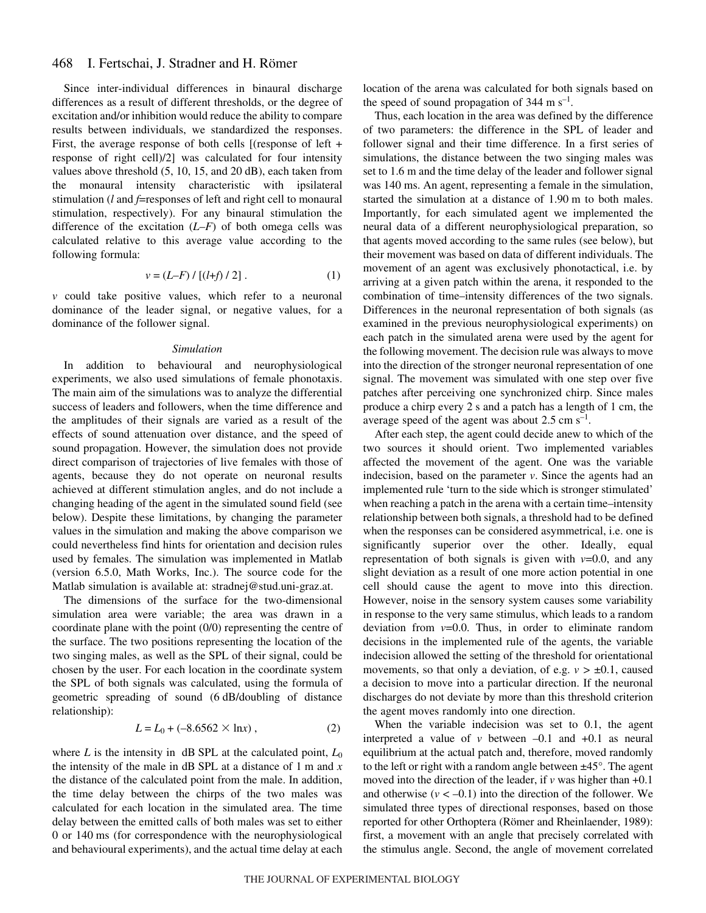Since inter-individual differences in binaural discharge differences as a result of different thresholds, or the degree of excitation and/or inhibition would reduce the ability to compare results between individuals, we standardized the responses. First, the average response of both cells [(response of left + response of right cell)/2] was calculated for four intensity values above threshold  $(5, 10, 15,$  and  $20$  dB), each taken from the monaural intensity characteristic with ipsilateral stimulation (*l* and *f*=responses of left and right cell to monaural stimulation, respectively). For any binaural stimulation the difference of the excitation  $(L-F)$  of both omega cells was calculated relative to this average value according to the following formula:

$$
v = (L - F) / [(l + f) / 2].
$$
 (1)

*v* could take positive values, which refer to a neuronal dominance of the leader signal, or negative values, for a dominance of the follower signal.

### *Simulation*

In addition to behavioural and neurophysiological experiments, we also used simulations of female phonotaxis. The main aim of the simulations was to analyze the differential success of leaders and followers, when the time difference and the amplitudes of their signals are varied as a result of the effects of sound attenuation over distance, and the speed of sound propagation. However, the simulation does not provide direct comparison of trajectories of live females with those of agents, because they do not operate on neuronal results achieved at different stimulation angles, and do not include a changing heading of the agent in the simulated sound field (see below). Despite these limitations, by changing the parameter values in the simulation and making the above comparison we could nevertheless find hints for orientation and decision rules used by females. The simulation was implemented in Matlab (version 6.5.0, Math Works, Inc.). The source code for the Matlab simulation is available at: stradnej@stud.uni-graz.at.

The dimensions of the surface for the two-dimensional simulation area were variable; the area was drawn in a coordinate plane with the point (0/0) representing the centre of the surface. The two positions representing the location of the two singing males, as well as the SPL of their signal, could be chosen by the user. For each location in the coordinate system the SPL of both signals was calculated, using the formula of geometric spreading of sound (6 dB/doubling of distance relationship):

$$
L = L_0 + (-8.6562 \times \ln x), \tag{2}
$$

where *L* is the intensity in dB SPL at the calculated point,  $L_0$ the intensity of the male in  $\text{dB}$  SPL at a distance of 1 m and *x* the distance of the calculated point from the male. In addition, the time delay between the chirps of the two males was calculated for each location in the simulated area. The time delay between the emitted calls of both males was set to either 0 or 140 ms (for correspondence with the neurophysiological and behavioural experiments), and the actual time delay at each location of the arena was calculated for both signals based on the speed of sound propagation of 344 m  $s^{-1}$ .

Thus, each location in the area was defined by the difference of two parameters: the difference in the SPL of leader and follower signal and their time difference. In a first series of simulations, the distance between the two singing males was set to 1.6 m and the time delay of the leader and follower signal was 140 ms. An agent, representing a female in the simulation, started the simulation at a distance of 1.90 m to both males. Importantly, for each simulated agent we implemented the neural data of a different neurophysiological preparation, so that agents moved according to the same rules (see below), but their movement was based on data of different individuals. The movement of an agent was exclusively phonotactical, i.e. by arriving at a given patch within the arena, it responded to the combination of time–intensity differences of the two signals. Differences in the neuronal representation of both signals (as examined in the previous neurophysiological experiments) on each patch in the simulated arena were used by the agent for the following movement. The decision rule was always to move into the direction of the stronger neuronal representation of one signal. The movement was simulated with one step over five patches after perceiving one synchronized chirp. Since males produce a chirp every  $2s$  and a patch has a length of 1 cm, the average speed of the agent was about 2.5 cm  $s^{-1}$ .

After each step, the agent could decide anew to which of the two sources it should orient. Two implemented variables affected the movement of the agent. One was the variable indecision, based on the parameter *v*. Since the agents had an implemented rule 'turn to the side which is stronger stimulated' when reaching a patch in the arena with a certain time–intensity relationship between both signals, a threshold had to be defined when the responses can be considered asymmetrical, i.e. one is significantly superior over the other. Ideally, equal representation of both signals is given with *v*=0.0, and any slight deviation as a result of one more action potential in one cell should cause the agent to move into this direction. However, noise in the sensory system causes some variability in response to the very same stimulus, which leads to a random deviation from *v*=0.0. Thus, in order to eliminate random decisions in the implemented rule of the agents, the variable indecision allowed the setting of the threshold for orientational movements, so that only a deviation, of e.g.  $v > \pm 0.1$ , caused a decision to move into a particular direction. If the neuronal discharges do not deviate by more than this threshold criterion the agent moves randomly into one direction.

When the variable indecision was set to 0.1, the agent interpreted a value of  $v$  between  $-0.1$  and  $+0.1$  as neural equilibrium at the actual patch and, therefore, moved randomly to the left or right with a random angle between ±45°. The agent moved into the direction of the leader, if *v* was higher than +0.1 and otherwise  $(v < -0.1)$  into the direction of the follower. We simulated three types of directional responses, based on those reported for other Orthoptera (Römer and Rheinlaender, 1989): first, a movement with an angle that precisely correlated with the stimulus angle. Second, the angle of movement correlated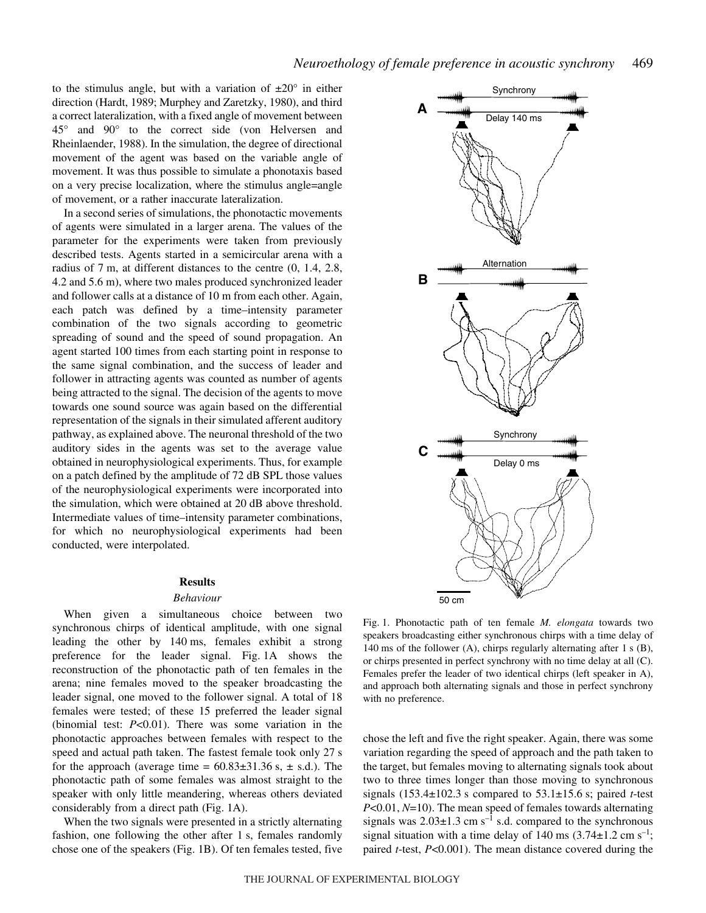to the stimulus angle, but with a variation of  $\pm 20^\circ$  in either direction (Hardt, 1989; Murphey and Zaretzky, 1980), and third a correct lateralization, with a fixed angle of movement between 45° and 90° to the correct side (von Helversen and Rheinlaender, 1988). In the simulation, the degree of directional movement of the agent was based on the variable angle of movement. It was thus possible to simulate a phonotaxis based on a very precise localization, where the stimulus angle=angle of movement, or a rather inaccurate lateralization.

In a second series of simulations, the phonotactic movements of agents were simulated in a larger arena. The values of the parameter for the experiments were taken from previously described tests. Agents started in a semicircular arena with a radius of  $7 \text{ m}$ , at different distances to the centre  $(0, 1.4, 2.8,$ 4.2 and 5.6 m), where two males produced synchronized leader and follower calls at a distance of 10 m from each other. Again, each patch was defined by a time–intensity parameter combination of the two signals according to geometric spreading of sound and the speed of sound propagation. An agent started 100 times from each starting point in response to the same signal combination, and the success of leader and follower in attracting agents was counted as number of agents being attracted to the signal. The decision of the agents to move towards one sound source was again based on the differential representation of the signals in their simulated afferent auditory pathway, as explained above. The neuronal threshold of the two auditory sides in the agents was set to the average value obtained in neurophysiological experiments. Thus, for example on a patch defined by the amplitude of 72 dB SPL those values of the neurophysiological experiments were incorporated into the simulation, which were obtained at 20 dB above threshold. Intermediate values of time–intensity parameter combinations, for which no neurophysiological experiments had been conducted, were interpolated.

#### **Results**

#### *Behaviour*

When given a simultaneous choice between two synchronous chirps of identical amplitude, with one signal leading the other by 140 ms, females exhibit a strong preference for the leader signal. Fig. 1A shows the reconstruction of the phonotactic path of ten females in the arena; nine females moved to the speaker broadcasting the leader signal, one moved to the follower signal. A total of 18 females were tested; of these 15 preferred the leader signal (binomial test: *P*<0.01). There was some variation in the phonotactic approaches between females with respect to the speed and actual path taken. The fastest female took only 27 s for the approach (average time =  $60.83 \pm 31.36$  s,  $\pm$  s.d.). The phonotactic path of some females was almost straight to the speaker with only little meandering, whereas others deviated considerably from a direct path (Fig. 1A).

When the two signals were presented in a strictly alternating fashion, one following the other after 1 s, females randomly chose one of the speakers (Fig. 1B). Of ten females tested, five



Fig. 1. Phonotactic path of ten female *M. elongata* towards two speakers broadcasting either synchronous chirps with a time delay of 140 ms of the follower (A), chirps regularly alternating after 1 s  $(B)$ , or chirps presented in perfect synchrony with no time delay at all (C). Females prefer the leader of two identical chirps (left speaker in A), and approach both alternating signals and those in perfect synchrony with no preference.

chose the left and five the right speaker. Again, there was some variation regarding the speed of approach and the path taken to the target, but females moving to alternating signals took about two to three times longer than those moving to synchronous signals  $(153.4 \pm 102.3 \text{ s}$  compared to  $53.1 \pm 15.6 \text{ s}$ ; paired *t*-test *P*<0.01, *N*=10). The mean speed of females towards alternating signals was  $2.03\pm1.3$  cm s<sup>-1</sup> s.d. compared to the synchronous signal situation with a time delay of 140 ms  $(3.74\pm1.2 \text{ cm s}^{-1})$ ; paired *t*-test, *P*<0.001). The mean distance covered during the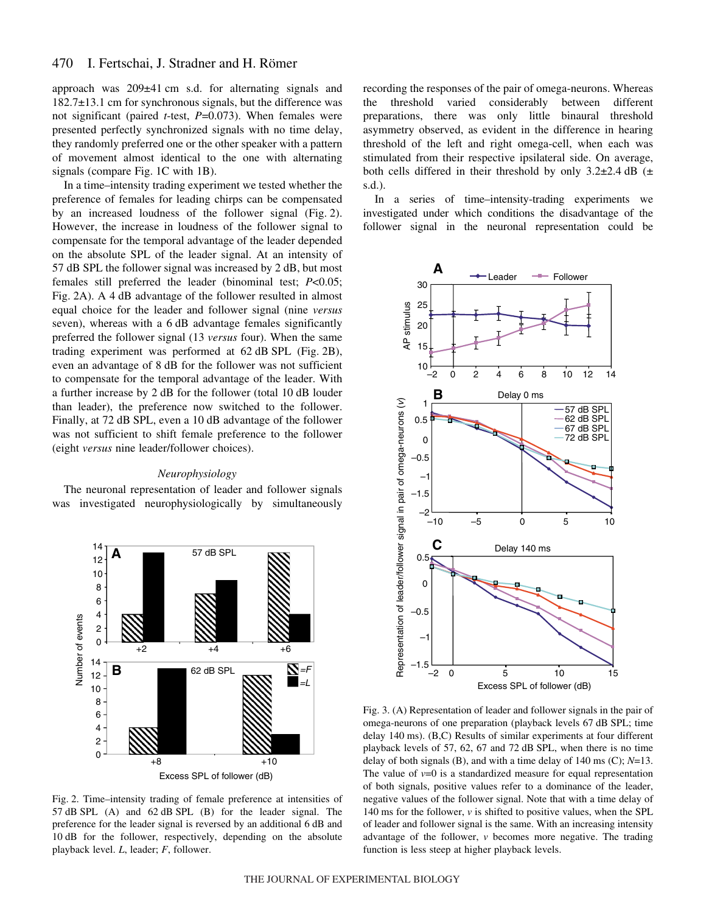approach was  $209±41$  cm s.d. for alternating signals and  $182.7\pm13.1$  cm for synchronous signals, but the difference was not significant (paired *t*-test, *P*=0.073). When females were presented perfectly synchronized signals with no time delay, they randomly preferred one or the other speaker with a pattern of movement almost identical to the one with alternating signals (compare Fig. 1C with 1B).

In a time–intensity trading experiment we tested whether the preference of females for leading chirps can be compensated by an increased loudness of the follower signal (Fig. 2). However, the increase in loudness of the follower signal to compensate for the temporal advantage of the leader depended on the absolute SPL of the leader signal. At an intensity of 57 dB SPL the follower signal was increased by 2 dB, but most females still preferred the leader (binominal test; *P*<0.05; Fig. 2A). A 4 dB advantage of the follower resulted in almost equal choice for the leader and follower signal (nine *versus* seven), whereas with a 6 dB advantage females significantly preferred the follower signal (13 *versus* four). When the same trading experiment was performed at 62 dB SPL (Fig. 2B), even an advantage of 8 dB for the follower was not sufficient to compensate for the temporal advantage of the leader. With a further increase by 2 dB for the follower (total 10 dB louder than leader), the preference now switched to the follower. Finally, at 72 dB SPL, even a 10 dB advantage of the follower was not sufficient to shift female preference to the follower (eight *versus* nine leader/follower choices).

# *Neurophysiology*

The neuronal representation of leader and follower signals was investigated neurophysiologically by simultaneously



Fig. 2. Time–intensity trading of female preference at intensities of 57 dB SPL (A) and 62 dB SPL (B) for the leader signal. The preference for the leader signal is reversed by an additional 6 dB and 10 dB for the follower, respectively, depending on the absolute playback level. *L*, leader; *F*, follower.

recording the responses of the pair of omega-neurons. Whereas the threshold varied considerably between different preparations, there was only little binaural threshold asymmetry observed, as evident in the difference in hearing threshold of the left and right omega-cell, when each was stimulated from their respective ipsilateral side. On average, both cells differed in their threshold by only  $3.2\pm2.4$  dB ( $\pm$ s.d.).

In a series of time–intensity-trading experiments we investigated under which conditions the disadvantage of the follower signal in the neuronal representation could be



Fig. 3. (A) Representation of leader and follower signals in the pair of omega-neurons of one preparation (playback levels 67 dB SPL; time delay 140 ms). (B,C) Results of similar experiments at four different playback levels of 57, 62, 67 and 72 dB SPL, when there is no time delay of both signals (B), and with a time delay of  $140 \text{ ms } (C)$ ; *N*=13. The value of  $v=0$  is a standardized measure for equal representation of both signals, positive values refer to a dominance of the leader, negative values of the follower signal. Note that with a time delay of 140 ms for the follower,  $v$  is shifted to positive values, when the SPL of leader and follower signal is the same. With an increasing intensity advantage of the follower, *v* becomes more negative. The trading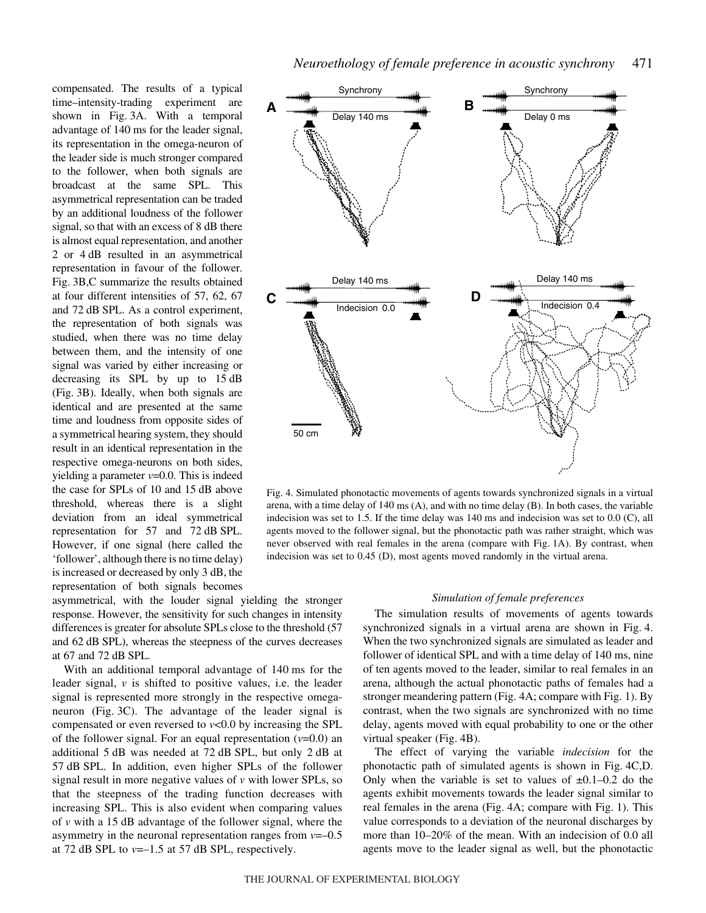compensated. The results of a typical time–intensity-trading experiment are shown in Fig. 3A. With a temporal advantage of 140 ms for the leader signal, its representation in the omega-neuron of the leader side is much stronger compared to the follower, when both signals are broadcast at the same SPL. This asymmetrical representation can be traded by an additional loudness of the follower signal, so that with an excess of 8 dB there is almost equal representation, and another 2 or 4 dB resulted in an asymmetrical representation in favour of the follower. Fig. 3B,C summarize the results obtained at four different intensities of 57, 62, 67 and 72 dB SPL. As a control experiment, the representation of both signals was studied, when there was no time delay between them, and the intensity of one signal was varied by either increasing or decreasing its SPL by up to 15 dB (Fig. 3B). Ideally, when both signals are identical and are presented at the same time and loudness from opposite sides of a symmetrical hearing system, they should result in an identical representation in the respective omega-neurons on both sides, yielding a parameter *v*=0.0. This is indeed the case for SPLs of 10 and 15 dB above threshold, whereas there is a slight deviation from an ideal symmetrical representation for 57 and 72 dB SPL. However, if one signal (here called the 'follower', although there is no time delay) is increased or decreased by only 3 dB, the representation of both signals becomes



Fig. 4. Simulated phonotactic movements of agents towards synchronized signals in a virtual arena, with a time delay of  $140 \text{ ms}$  (A), and with no time delay (B). In both cases, the variable indecision was set to 1.5. If the time delay was  $140 \text{ ms}$  and indecision was set to 0.0 (C), all agents moved to the follower signal, but the phonotactic path was rather straight, which was never observed with real females in the arena (compare with Fig. 1A). By contrast, when indecision was set to 0.45 (D), most agents moved randomly in the virtual arena.

asymmetrical, with the louder signal yielding the stronger response. However, the sensitivity for such changes in intensity differences is greater for absolute SPLs close to the threshold (57 and 62 dB SPL), whereas the steepness of the curves decreases at 67 and 72 dB SPL.

With an additional temporal advantage of 140 ms for the leader signal, *v* is shifted to positive values, i.e. the leader signal is represented more strongly in the respective omeganeuron (Fig.  $3C$ ). The advantage of the leader signal is compensated or even reversed to *v*<0.0 by increasing the SPL of the follower signal. For an equal representation (*v*=0.0) an additional 5 dB was needed at 72 dB SPL, but only 2 dB at 57 dB SPL. In addition, even higher SPLs of the follower signal result in more negative values of *v* with lower SPLs, so that the steepness of the trading function decreases with increasing SPL. This is also evident when comparing values of *v* with a 15·dB advantage of the follower signal, where the asymmetry in the neuronal representation ranges from *v*=–0.5 at 72 dB SPL to  $v=-1.5$  at 57 dB SPL, respectively.

## *Simulation of female preferences*

The simulation results of movements of agents towards synchronized signals in a virtual arena are shown in Fig. 4. When the two synchronized signals are simulated as leader and follower of identical SPL and with a time delay of 140 ms, nine of ten agents moved to the leader, similar to real females in an arena, although the actual phonotactic paths of females had a stronger meandering pattern (Fig. 4A; compare with Fig. 1). By contrast, when the two signals are synchronized with no time delay, agents moved with equal probability to one or the other virtual speaker (Fig. 4B).

The effect of varying the variable *indecision* for the phonotactic path of simulated agents is shown in Fig. 4C,D. Only when the variable is set to values of  $\pm 0.1 - 0.2$  do the agents exhibit movements towards the leader signal similar to real females in the arena (Fig. 4A; compare with Fig. 1). This value corresponds to a deviation of the neuronal discharges by more than 10–20% of the mean. With an indecision of 0.0 all agents move to the leader signal as well, but the phonotactic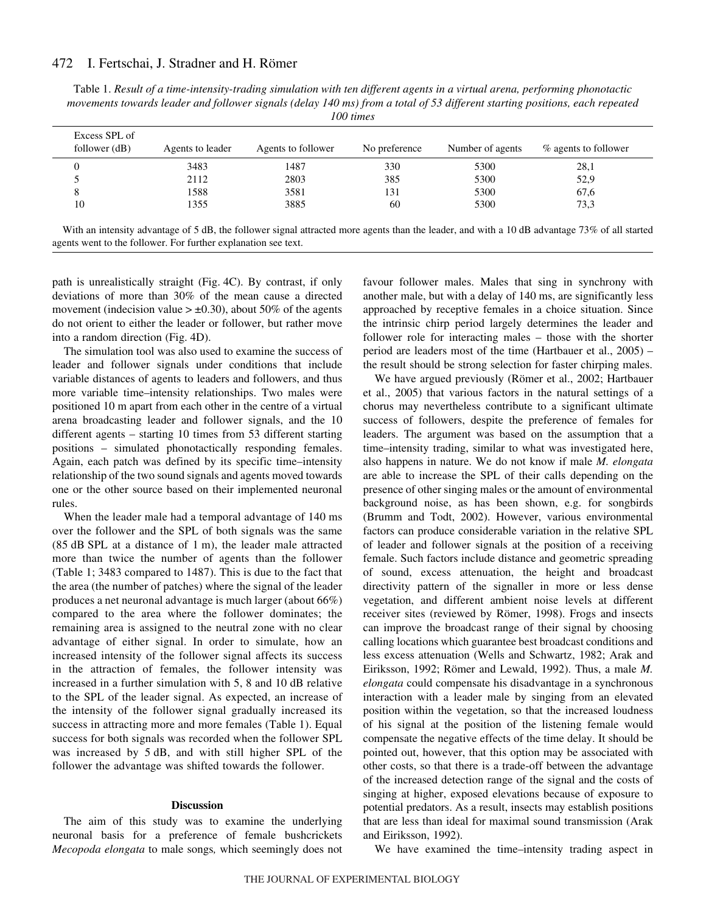| 100 times                        |                  |                    |               |                  |                      |
|----------------------------------|------------------|--------------------|---------------|------------------|----------------------|
| Excess SPL of<br>follower $(dB)$ | Agents to leader | Agents to follower | No preference | Number of agents | % agents to follower |
| 0                                | 3483             | 1487               | 330           | 5300             | 28,1                 |
|                                  | 2112             | 2803               | 385           | 5300             | 52,9                 |
| 8                                | 1588             | 3581               | 131           | 5300             | 67,6                 |
| 10                               | 1355             | 3885               | 60            | 5300             | 73,3                 |

Table 1. Result of a time-intensity-trading simulation with ten different agents in a virtual arena, performing phonotactic movements towards leader and follower signals (delay 140 ms) from a total of 53 different starting positions, each repeated

With an intensity advantage of 5 dB, the follower signal attracted more agents than the leader, and with a 10 dB advantage 73% of all started agents went to the follower. For further explanation see text.

path is unrealistically straight (Fig. 4C). By contrast, if only deviations of more than 30% of the mean cause a directed movement (indecision value  $> \pm 0.30$ ), about 50% of the agents do not orient to either the leader or follower, but rather move into a random direction (Fig. 4D).

The simulation tool was also used to examine the success of leader and follower signals under conditions that include variable distances of agents to leaders and followers, and thus more variable time–intensity relationships. Two males were positioned 10 m apart from each other in the centre of a virtual arena broadcasting leader and follower signals, and the 10 different agents – starting 10 times from 53 different starting positions – simulated phonotactically responding females. Again, each patch was defined by its specific time–intensity relationship of the two sound signals and agents moved towards one or the other source based on their implemented neuronal rules.

When the leader male had a temporal advantage of 140 ms over the follower and the SPL of both signals was the same (85 dB SPL at a distance of  $1 \text{ m}$ ), the leader male attracted more than twice the number of agents than the follower (Table 1; 3483 compared to  $1487$ ). This is due to the fact that the area (the number of patches) where the signal of the leader produces a net neuronal advantage is much larger (about 66%) compared to the area where the follower dominates; the remaining area is assigned to the neutral zone with no clear advantage of either signal. In order to simulate, how an increased intensity of the follower signal affects its success in the attraction of females, the follower intensity was increased in a further simulation with 5, 8 and 10 dB relative to the SPL of the leader signal. As expected, an increase of the intensity of the follower signal gradually increased its success in attracting more and more females (Table 1). Equal success for both signals was recorded when the follower SPL was increased by 5 dB, and with still higher SPL of the follower the advantage was shifted towards the follower.

### **Discussion**

The aim of this study was to examine the underlying neuronal basis for a preference of female bushcrickets *Mecopoda elongata* to male songs*,* which seemingly does not favour follower males. Males that sing in synchrony with another male, but with a delay of 140 ms, are significantly less approached by receptive females in a choice situation. Since the intrinsic chirp period largely determines the leader and follower role for interacting males – those with the shorter period are leaders most of the time (Hartbauer et al., 2005) – the result should be strong selection for faster chirping males.

We have argued previously (Römer et al., 2002; Hartbauer et al., 2005) that various factors in the natural settings of a chorus may nevertheless contribute to a significant ultimate success of followers, despite the preference of females for leaders. The argument was based on the assumption that a time–intensity trading, similar to what was investigated here, also happens in nature. We do not know if male *M. elongata* are able to increase the SPL of their calls depending on the presence of other singing males or the amount of environmental background noise, as has been shown, e.g. for songbirds (Brumm and Todt, 2002). However, various environmental factors can produce considerable variation in the relative SPL of leader and follower signals at the position of a receiving female. Such factors include distance and geometric spreading of sound, excess attenuation, the height and broadcast directivity pattern of the signaller in more or less dense vegetation, and different ambient noise levels at different receiver sites (reviewed by Römer, 1998). Frogs and insects can improve the broadcast range of their signal by choosing calling locations which guarantee best broadcast conditions and less excess attenuation (Wells and Schwartz, 1982; Arak and Eiriksson, 1992; Römer and Lewald, 1992). Thus, a male *M. elongata* could compensate his disadvantage in a synchronous interaction with a leader male by singing from an elevated position within the vegetation, so that the increased loudness of his signal at the position of the listening female would compensate the negative effects of the time delay. It should be pointed out, however, that this option may be associated with other costs, so that there is a trade-off between the advantage of the increased detection range of the signal and the costs of singing at higher, exposed elevations because of exposure to potential predators. As a result, insects may establish positions that are less than ideal for maximal sound transmission (Arak and Eiriksson, 1992).

We have examined the time–intensity trading aspect in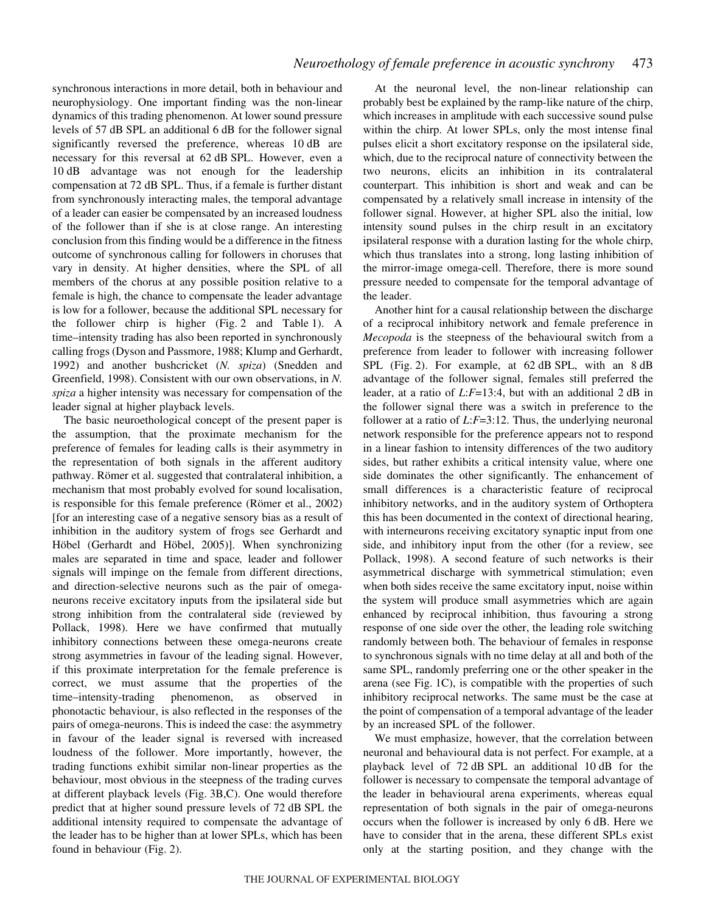synchronous interactions in more detail, both in behaviour and neurophysiology. One important finding was the non-linear dynamics of this trading phenomenon. At lower sound pressure levels of 57 dB SPL an additional 6 dB for the follower signal significantly reversed the preference, whereas 10 dB are necessary for this reversal at 62 dB SPL. However, even a 10 dB advantage was not enough for the leadership compensation at 72 dB SPL. Thus, if a female is further distant from synchronously interacting males, the temporal advantage of a leader can easier be compensated by an increased loudness of the follower than if she is at close range. An interesting conclusion from this finding would be a difference in the fitness outcome of synchronous calling for followers in choruses that vary in density. At higher densities, where the SPL of all members of the chorus at any possible position relative to a female is high, the chance to compensate the leader advantage is low for a follower, because the additional SPL necessary for the follower chirp is higher (Fig. 2 and Table 1). A time–intensity trading has also been reported in synchronously calling frogs (Dyson and Passmore, 1988; Klump and Gerhardt, 1992) and another bushcricket (*N. spiza*) (Snedden and Greenfield, 1998). Consistent with our own observations, in *N. spiza* a higher intensity was necessary for compensation of the leader signal at higher playback levels.

The basic neuroethological concept of the present paper is the assumption, that the proximate mechanism for the preference of females for leading calls is their asymmetry in the representation of both signals in the afferent auditory pathway. Römer et al. suggested that contralateral inhibition, a mechanism that most probably evolved for sound localisation, is responsible for this female preference (Römer et al., 2002) [for an interesting case of a negative sensory bias as a result of inhibition in the auditory system of frogs see Gerhardt and Höbel (Gerhardt and Höbel, 2005)]. When synchronizing males are separated in time and space*,* leader and follower signals will impinge on the female from different directions, and direction-selective neurons such as the pair of omeganeurons receive excitatory inputs from the ipsilateral side but strong inhibition from the contralateral side (reviewed by Pollack, 1998). Here we have confirmed that mutually inhibitory connections between these omega-neurons create strong asymmetries in favour of the leading signal. However, if this proximate interpretation for the female preference is correct, we must assume that the properties of the time–intensity-trading phenomenon, as observed in phonotactic behaviour, is also reflected in the responses of the pairs of omega-neurons. This is indeed the case: the asymmetry in favour of the leader signal is reversed with increased loudness of the follower. More importantly, however, the trading functions exhibit similar non-linear properties as the behaviour, most obvious in the steepness of the trading curves at different playback levels (Fig. 3B,C). One would therefore predict that at higher sound pressure levels of 72 dB SPL the additional intensity required to compensate the advantage of the leader has to be higher than at lower SPLs, which has been found in behaviour (Fig. 2).

At the neuronal level, the non-linear relationship can probably best be explained by the ramp-like nature of the chirp, which increases in amplitude with each successive sound pulse within the chirp. At lower SPLs, only the most intense final pulses elicit a short excitatory response on the ipsilateral side, which, due to the reciprocal nature of connectivity between the two neurons, elicits an inhibition in its contralateral counterpart. This inhibition is short and weak and can be compensated by a relatively small increase in intensity of the follower signal. However, at higher SPL also the initial, low intensity sound pulses in the chirp result in an excitatory ipsilateral response with a duration lasting for the whole chirp, which thus translates into a strong, long lasting inhibition of the mirror-image omega-cell. Therefore, there is more sound pressure needed to compensate for the temporal advantage of the leader.

Another hint for a causal relationship between the discharge of a reciprocal inhibitory network and female preference in *Mecopoda* is the steepness of the behavioural switch from a preference from leader to follower with increasing follower SPL (Fig. 2). For example, at 62 dB SPL, with an 8 dB advantage of the follower signal, females still preferred the leader, at a ratio of  $L: F=13:4$ , but with an additional 2 dB in the follower signal there was a switch in preference to the follower at a ratio of *L*:*F*=3:12. Thus, the underlying neuronal network responsible for the preference appears not to respond in a linear fashion to intensity differences of the two auditory sides, but rather exhibits a critical intensity value, where one side dominates the other significantly. The enhancement of small differences is a characteristic feature of reciprocal inhibitory networks, and in the auditory system of Orthoptera this has been documented in the context of directional hearing, with interneurons receiving excitatory synaptic input from one side, and inhibitory input from the other (for a review, see Pollack, 1998). A second feature of such networks is their asymmetrical discharge with symmetrical stimulation; even when both sides receive the same excitatory input, noise within the system will produce small asymmetries which are again enhanced by reciprocal inhibition, thus favouring a strong response of one side over the other, the leading role switching randomly between both. The behaviour of females in response to synchronous signals with no time delay at all and both of the same SPL, randomly preferring one or the other speaker in the arena (see Fig. 1C), is compatible with the properties of such inhibitory reciprocal networks. The same must be the case at the point of compensation of a temporal advantage of the leader by an increased SPL of the follower.

We must emphasize, however, that the correlation between neuronal and behavioural data is not perfect. For example, at a playback level of 72 dB SPL an additional 10 dB for the follower is necessary to compensate the temporal advantage of the leader in behavioural arena experiments, whereas equal representation of both signals in the pair of omega-neurons occurs when the follower is increased by only 6 dB. Here we have to consider that in the arena, these different SPLs exist only at the starting position, and they change with the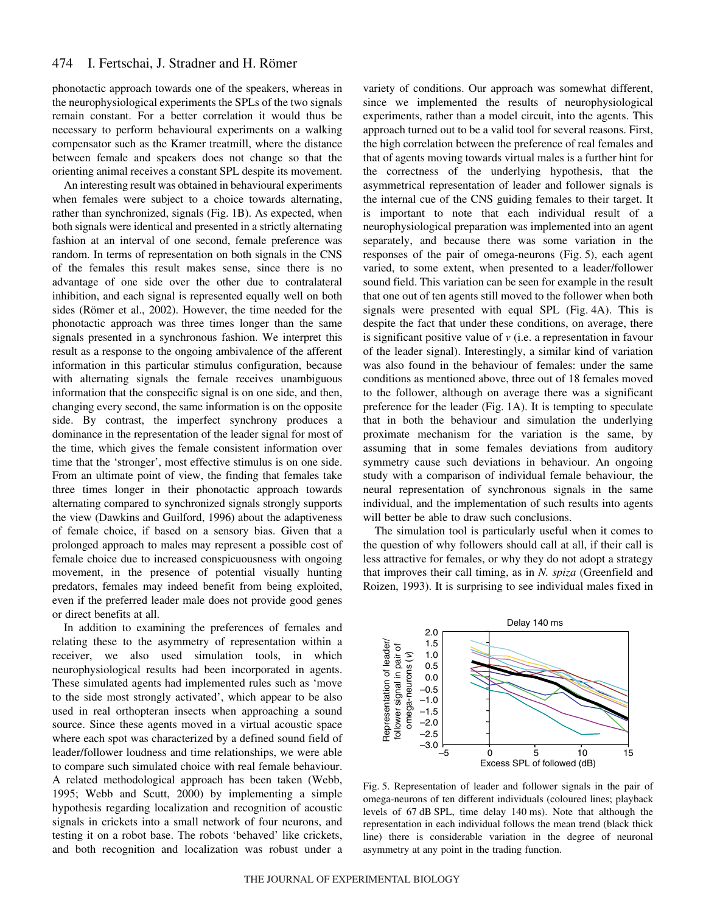phonotactic approach towards one of the speakers, whereas in the neurophysiological experiments the SPLs of the two signals remain constant. For a better correlation it would thus be necessary to perform behavioural experiments on a walking compensator such as the Kramer treatmill, where the distance between female and speakers does not change so that the orienting animal receives a constant SPL despite its movement.

An interesting result was obtained in behavioural experiments when females were subject to a choice towards alternating, rather than synchronized, signals (Fig. 1B). As expected, when both signals were identical and presented in a strictly alternating fashion at an interval of one second, female preference was random. In terms of representation on both signals in the CNS of the females this result makes sense, since there is no advantage of one side over the other due to contralateral inhibition, and each signal is represented equally well on both sides (Römer et al., 2002). However, the time needed for the phonotactic approach was three times longer than the same signals presented in a synchronous fashion. We interpret this result as a response to the ongoing ambivalence of the afferent information in this particular stimulus configuration, because with alternating signals the female receives unambiguous information that the conspecific signal is on one side, and then, changing every second, the same information is on the opposite side. By contrast, the imperfect synchrony produces a dominance in the representation of the leader signal for most of the time, which gives the female consistent information over time that the 'stronger', most effective stimulus is on one side. From an ultimate point of view, the finding that females take three times longer in their phonotactic approach towards alternating compared to synchronized signals strongly supports the view (Dawkins and Guilford, 1996) about the adaptiveness of female choice, if based on a sensory bias. Given that a prolonged approach to males may represent a possible cost of female choice due to increased conspicuousness with ongoing movement, in the presence of potential visually hunting predators, females may indeed benefit from being exploited, even if the preferred leader male does not provide good genes or direct benefits at all.

In addition to examining the preferences of females and relating these to the asymmetry of representation within a receiver, we also used simulation tools, in which neurophysiological results had been incorporated in agents. These simulated agents had implemented rules such as 'move to the side most strongly activated', which appear to be also used in real orthopteran insects when approaching a sound source. Since these agents moved in a virtual acoustic space where each spot was characterized by a defined sound field of leader/follower loudness and time relationships, we were able to compare such simulated choice with real female behaviour. A related methodological approach has been taken (Webb, 1995; Webb and Scutt, 2000) by implementing a simple hypothesis regarding localization and recognition of acoustic signals in crickets into a small network of four neurons, and testing it on a robot base. The robots 'behaved' like crickets, and both recognition and localization was robust under a

variety of conditions. Our approach was somewhat different, since we implemented the results of neurophysiological experiments, rather than a model circuit, into the agents. This approach turned out to be a valid tool for several reasons. First, the high correlation between the preference of real females and that of agents moving towards virtual males is a further hint for the correctness of the underlying hypothesis, that the asymmetrical representation of leader and follower signals is the internal cue of the CNS guiding females to their target. It is important to note that each individual result of a neurophysiological preparation was implemented into an agent separately, and because there was some variation in the responses of the pair of omega-neurons (Fig. 5), each agent varied, to some extent, when presented to a leader/follower sound field. This variation can be seen for example in the result that one out of ten agents still moved to the follower when both signals were presented with equal SPL (Fig. 4A). This is despite the fact that under these conditions, on average, there is significant positive value of *v* (i.e. a representation in favour of the leader signal). Interestingly, a similar kind of variation was also found in the behaviour of females: under the same conditions as mentioned above, three out of 18 females moved to the follower, although on average there was a significant preference for the leader (Fig.  $1A$ ). It is tempting to speculate that in both the behaviour and simulation the underlying proximate mechanism for the variation is the same, by assuming that in some females deviations from auditory symmetry cause such deviations in behaviour. An ongoing study with a comparison of individual female behaviour, the neural representation of synchronous signals in the same individual, and the implementation of such results into agents will better be able to draw such conclusions.

The simulation tool is particularly useful when it comes to the question of why followers should call at all, if their call is less attractive for females, or why they do not adopt a strategy that improves their call timing, as in *N. spiza* (Greenfield and Roizen, 1993). It is surprising to see individual males fixed in



Fig. 5. Representation of leader and follower signals in the pair of omega-neurons of ten different individuals (coloured lines; playback levels of 67 dB SPL, time delay 140 ms). Note that although the representation in each individual follows the mean trend (black thick line) there is considerable variation in the degree of neuronal asymmetry at any point in the trading function.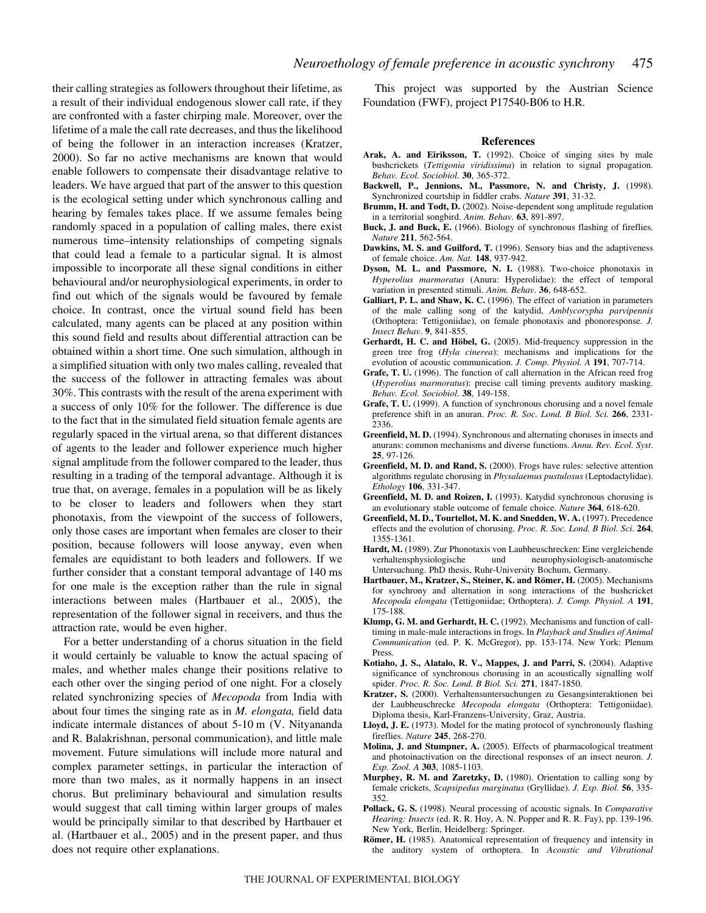their calling strategies as followers throughout their lifetime, as a result of their individual endogenous slower call rate, if they are confronted with a faster chirping male. Moreover, over the lifetime of a male the call rate decreases, and thus the likelihood of being the follower in an interaction increases (Kratzer, 2000). So far no active mechanisms are known that would enable followers to compensate their disadvantage relative to leaders. We have argued that part of the answer to this question is the ecological setting under which synchronous calling and hearing by females takes place. If we assume females being randomly spaced in a population of calling males, there exist numerous time–intensity relationships of competing signals that could lead a female to a particular signal. It is almost impossible to incorporate all these signal conditions in either behavioural and/or neurophysiological experiments, in order to find out which of the signals would be favoured by female choice. In contrast, once the virtual sound field has been calculated, many agents can be placed at any position within this sound field and results about differential attraction can be obtained within a short time. One such simulation, although in a simplified situation with only two males calling, revealed that the success of the follower in attracting females was about 30%. This contrasts with the result of the arena experiment with a success of only 10% for the follower. The difference is due to the fact that in the simulated field situation female agents are regularly spaced in the virtual arena, so that different distances of agents to the leader and follower experience much higher signal amplitude from the follower compared to the leader, thus resulting in a trading of the temporal advantage. Although it is true that, on average, females in a population will be as likely to be closer to leaders and followers when they start phonotaxis, from the viewpoint of the success of followers, only those cases are important when females are closer to their position, because followers will loose anyway, even when females are equidistant to both leaders and followers. If we further consider that a constant temporal advantage of 140 ms for one male is the exception rather than the rule in signal interactions between males (Hartbauer et al., 2005), the representation of the follower signal in receivers, and thus the attraction rate, would be even higher.

For a better understanding of a chorus situation in the field it would certainly be valuable to know the actual spacing of males, and whether males change their positions relative to each other over the singing period of one night. For a closely related synchronizing species of *Mecopoda* from India with about four times the singing rate as in *M. elongata,* field data indicate intermale distances of about  $5-10$  m (V. Nityananda and R. Balakrishnan, personal communication), and little male movement. Future simulations will include more natural and complex parameter settings, in particular the interaction of more than two males, as it normally happens in an insect chorus. But preliminary behavioural and simulation results would suggest that call timing within larger groups of males would be principally similar to that described by Hartbauer et al. (Hartbauer et al., 2005) and in the present paper, and thus does not require other explanations.

This project was supported by the Austrian Science Foundation (FWF), project P17540-B06 to H.R.

#### **References**

- **Arak, A. and Eiriksson, T.** (1992). Choice of singing sites by male bushcrickets (*Tettigonia viridissima*) in relation to signal propagation. *Behav. Ecol. Sociobiol.* **30**, 365-372.
- **Backwell, P., Jennions, M., Passmore, N. and Christy, J.** (1998). Synchronized courtship in fiddler crabs. *Nature* **391**, 31-32.
- **Brumm, H. and Todt, D.** (2002). Noise-dependent song amplitude regulation in a territorial songbird. *Anim. Behav.* **63**, 891-897.
- **Buck, J. and Buck, E.** (1966). Biology of synchronous flashing of fireflies. *Nature* **211**, 562-564.
- **Dawkins, M. S. and Guilford, T.** (1996). Sensory bias and the adaptiveness of female choice. *Am. Nat.* **148**, 937-942.
- **Dyson, M. L. and Passmore, N. I.** (1988). Two-choice phonotaxis in *Hyperolius marmoratus* (Anura: Hyperolidae): the effect of temporal variation in presented stimuli. *Anim. Behav*. **36**, 648-652.
- **Galliart, P. L. and Shaw, K. C.** (1996). The effect of variation in parameters of the male calling song of the katydid, *Amblycorypha parvipennis* (Orthoptera: Tettigoniidae), on female phonotaxis and phonoresponse. *J. Insect Behav*. **9**, 841-855.
- **Gerhardt, H. C. and Höbel, G.** (2005). Mid-frequency suppression in the green tree frog (*Hyla cinerea*): mechanisms and implications for the evolution of acoustic communication. *J. Comp. Physiol. A* **191**, 707-714.
- **Grafe, T. U.** (1996). The function of call alternation in the African reed frog (*Hyperolius marmoratus*): precise call timing prevents auditory masking. *Behav. Ecol. Sociobiol*. **38**, 149-158.
- **Grafe, T. U.** (1999). A function of synchronous chorusing and a novel female preference shift in an anuran. *Proc. R. Soc. Lond. B Biol. Sci.* **266**, 2331- 2336.
- **Greenfield, M. D.** (1994). Synchronous and alternating choruses in insects and anurans: common mechanisms and diverse functions. *Annu. Rev. Ecol. Syst*. **25**, 97-126.
- **Greenfield, M. D. and Rand, S.** (2000). Frogs have rules: selective attention algorithms regulate chorusing in *Physalaemus pustulosus* (Leptodactylidae). *Ethology* **106**, 331-347.
- **Greenfield, M. D. and Roizen, I.** (1993). Katydid synchronous chorusing is an evolutionary stable outcome of female choice. *Nature* **364**, 618-620.
- **Greenfield, M. D., Tourtellot, M. K. and Snedden, W. A.** (1997). Precedence effects and the evolution of chorusing. *Proc. R. Soc. Lond. B Biol. Sci*. **264**, 1355-1361.
- **Hardt, M.** (1989). Zur Phonotaxis von Laubheuschrecken: Eine vergleichende verhaltensphysiologische und neurophysiologisch-anatomische Untersuchung. PhD thesis, Ruhr-University Bochum, Germany.
- **Hartbauer, M., Kratzer, S., Steiner, K. and Römer, H.** (2005). Mechanisms for synchrony and alternation in song interactions of the bushcricket *Mecopoda elongata* (Tettigoniidae; Orthoptera). *J. Comp. Physiol. A* **191**, 175-188.
- **Klump, G. M. and Gerhardt, H. C.** (1992). Mechanisms and function of calltiming in male-male interactions in frogs. In *Playback and Studies of Animal Communication* (ed. P. K. McGregor), pp. 153-174. New York: Plenum Press.
- **Kotiaho, J. S., Alatalo, R. V., Mappes, J. and Parri, S.** (2004). Adaptive significance of synchronous chorusing in an acoustically signalling wolf spider. *Proc. R. Soc. Lond. B Biol. Sci.* **271**, 1847-1850.
- **Kratzer, S.** (2000). Verhaltensuntersuchungen zu Gesangsinteraktionen bei der Laubheuschrecke *Mecopoda elongata* (Orthoptera: Tettigoniidae). Diploma thesis, Karl-Franzens-University, Graz, Austria.
- **Lloyd, J. E.** (1973). Model for the mating protocol of synchronously flashing fireflies. *Nature* **245**, 268-270.
- **Molina, J. and Stumpner, A.** (2005). Effects of pharmacological treatment and photoinactivation on the directional responses of an insect neuron. *J. Exp. Zool. A* **303**, 1085-1103.
- **Murphey, R. M. and Zaretzky, D.** (1980). Orientation to calling song by female crickets, *Scapsipedus marginatus* (Gryllidae). *J. Exp. Biol.* **56**, 335- 352.
- **Pollack, G. S.** (1998). Neural processing of acoustic signals. In *Comparative Hearing: Insects* (ed. R. R. Hoy, A. N. Popper and R. R. Fay), pp. 139-196. New York, Berlin, Heidelberg: Springer.
- **Römer, H.** (1985). Anatomical representation of frequency and intensity in the auditory system of orthoptera. In *Acoustic and Vibrational*